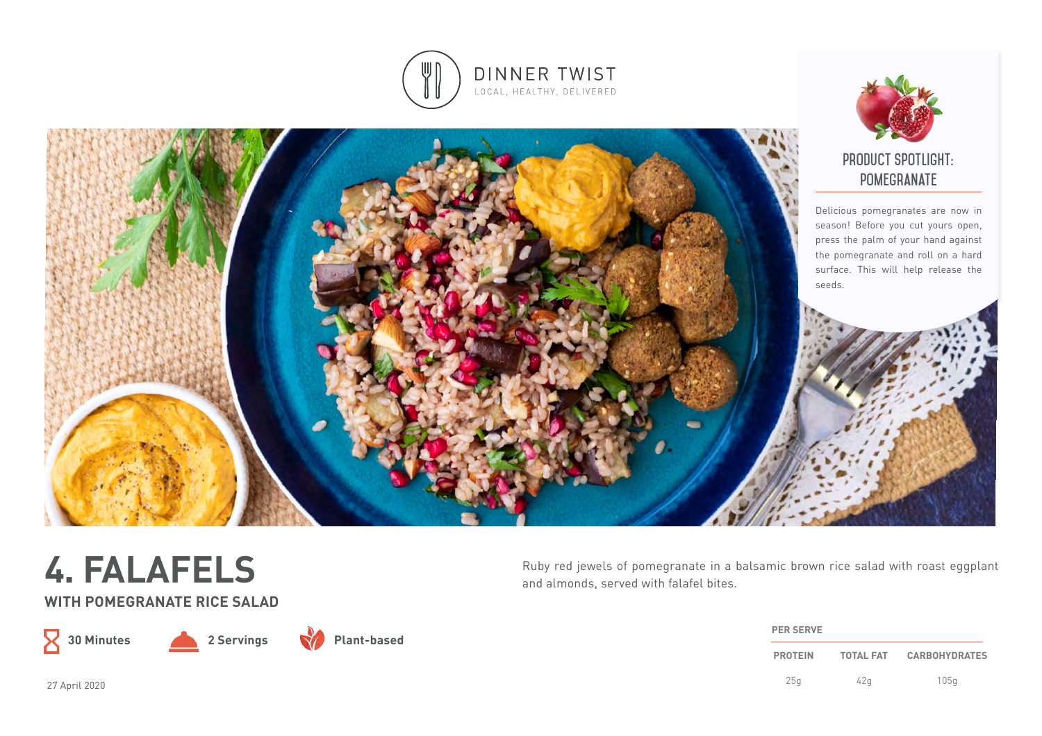





**WITH POMEGRANATE RICE SALAD**

 $\mathsf X$ 



**Plant-based**

Ruby red jewels of pomegranate in a balsamic brown rice salad with roast eggplant and almonds, served with falafel bites.

| <b>PER SERVE</b> |                  |                      |
|------------------|------------------|----------------------|
| <b>PROTEIN</b>   | <b>TOTAL FAT</b> | <b>CARBOHYDRATES</b> |
| 25q              | 42a              | 105q                 |

27 April 2020